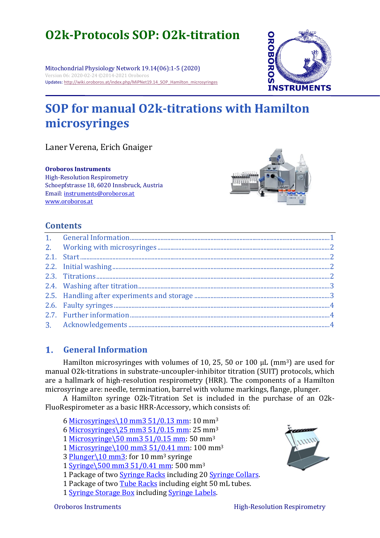# **O2k-Protocols SOP: O2k-titration**

Mitochondrial Physiology Network 19.14(06):1-5 (2020) Version 06: 2020-02-24 ©2014-2021 Oroboros Updates[: http://wiki.oroboros.at/index.php/MiPNet19.14\\_SOP\\_Hamilton\\_microsyringes](http://wiki.oroboros.at/index.php/MiPNet19.14_SOP_Hamilton_microsyringes)

## **SOP for manual O2k-titrations with Hamilton microsyringes**

Laner Verena, Erich Gnaiger

**Oroboros Instruments**

High-Resolution Respirometry Schoepfstrasse 18, 6020 Innsbruck, Austria Email: instruments@oroboros.at [www.oroboros.at](http://www.oroboros.at/)



## **Contents**

#### <span id="page-0-0"></span> $1<sub>1</sub>$ **General Information**

Hamilton microsyringes with volumes of 10, 25, 50 or 100  $\mu$ L (mm<sup>3</sup>) are used for manual O2k-titrations in substrate-uncoupler-inhibitor titration (SUIT) protocols, which are a hallmark of high-resolution respirometry (HRR). The components of a Hamilton microsyringe are: needle, termination, barrel with volume markings, flange, plunger.

A Hamilton syringe [O2k-Titration Set](https://www.oroboros.at/index.php/product/o2k-titration-set/) is included in the purchase of an O2k-FluoRespirometer as a basic HRR-Accessory, which consists of:

6 [Microsyringes\10 mm3 51/0.13 mm:](http://www.bioblast.at/index.php/Microsyringe%5C10_mm3_51/0.13_mm) 10 mm<sup>3</sup>

6 [Microsyringes\25 mm3 51/0.15 mm:](http://wiki.oroboros.at/index.php/Microsyringe%5C25_mm3_51/0.15_mm) 25 mm<sup>3</sup>

1 [Microsyringe\50 mm3 51/0.15 mm:](http://wiki.oroboros.at/index.php/Microsyringe%5C50_mm3_51/0.15_mm) 50 mm<sup>3</sup>

1 [Microsyringe\100 mm3 51/0.41 mm:](http://wiki.oroboros.at/index.php/Microsyringe%5C100_mm3_51/0.41_mm) 100 mm<sup>3</sup>

3 [Plunger\10 mm3:](http://wiki.oroboros.at/index.php/Plunger%5C10_mm3) for 10 mm<sup>3</sup> syringe

1 [Syringe\500 mm3 51/0.41 mm:](http://wiki.oroboros.at/index.php/Syringe%5C500_mm3_51/0.41_mm) 500 mm<sup>3</sup>

1 Package of two [Syringe Racks](http://wiki.oroboros.at/index.php/Syringe_Racks) including 20 [Syringe Collars.](http://wiki.oroboros.at/index.php/Syringe_Collars)

1 Package of two Tube [Racks](http://wiki.oroboros.at/index.php/Tube_Racks) including eight 50 mL tubes.

1 [Syringe Storage Box](http://wiki.oroboros.at/index.php/Syringe_Storage_Box) including [Syringe Labels.](http://wiki.oroboros.at/index.php/Syringe_Labels)



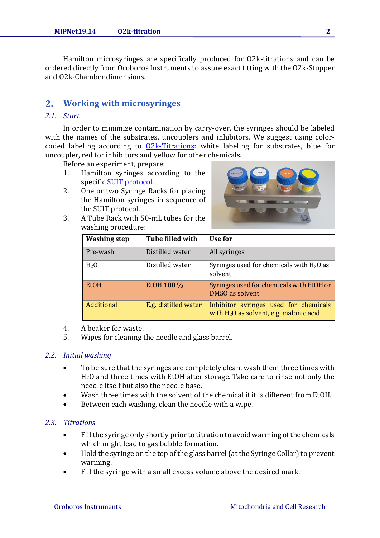Hamilton microsyringes are specifically produced for O2k-titrations and can be ordered directly from Oroboros Instruments to assure exact fitting with the O2k-Stopper and O2k-Chamber dimensions.

#### <span id="page-1-0"></span> $2<sub>1</sub>$ **Working with microsyringes**

## <span id="page-1-1"></span>*2.1. Start*

In order to minimize contamination by carry-over, the syringes should be labeled with the names of the substrates, uncouplers and inhibitors. We suggest using colorcoded labeling according to  $Q2k$ -Titrations: white labeling for substrates, blue for uncoupler, red for inhibitors and yellow for other chemicals.

Before an experiment, prepare:

- 1. Hamilton syringes according to the specific [SUIT protocol.](http://www.bioblast.at/index.php/SUIT_protocol)
- 2. One or two Syringe Racks for placing the Hamilton syringes in sequence of the SUIT protocol.



3. A Tube Rack with 50-mL tubes for the washing procedure:

| <b>Washing step</b> | <b>Tube filled with</b> | Use for                                                                            |  |  |
|---------------------|-------------------------|------------------------------------------------------------------------------------|--|--|
| Pre-wash            | Distilled water         | All syringes                                                                       |  |  |
| H <sub>2</sub> O    | Distilled water         | Syringes used for chemicals with $H_2O$ as<br>solvent                              |  |  |
| <b>EtOH</b>         | EtOH 100 %              | Syringes used for chemicals with EtOH or<br>DMSO as solvent                        |  |  |
| Additional          | E.g. distilled water    | Inhibitor syringes used for chemicals<br>with $H_2O$ as solvent, e.g. malonic acid |  |  |

- 4. A beaker for waste.
- 5. Wipes for cleaning the needle and glass barrel.

#### <span id="page-1-2"></span>*2.2. Initial washing*

- To be sure that the syringes are completely clean, wash them three times with H2O and three times with EtOH after storage. Take care to rinse not only the needle itself but also the needle base.
- Wash three times with the solvent of the chemical if it is different from EtOH.
- Between each washing, clean the needle with a wipe.

#### <span id="page-1-3"></span>*2.3. Titrations*

- Fill the syringe only shortly prior to titration to avoid warming of the chemicals which might lead to gas bubble formation.
- Hold the syringe on the top of the glass barrel (at the Syringe Collar) to prevent warming.
- Fill the syringe with a small excess volume above the desired mark.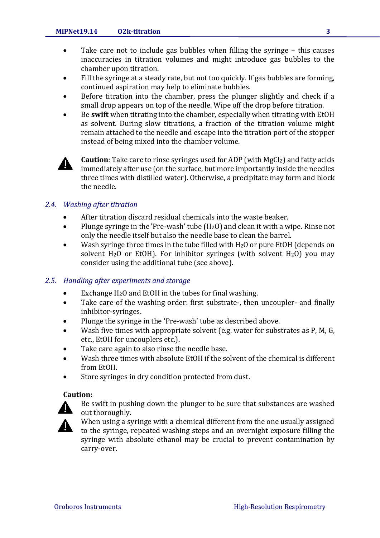- Take care not to include gas bubbles when filling the syringe this causes inaccuracies in titration volumes and might introduce gas bubbles to the chamber upon titration.
- Fill the syringe at a steady rate, but not too quickly. If gas bubbles are forming, continued aspiration may help to eliminate bubbles.
- Before titration into the chamber, press the plunger slightly and check if a small drop appears on top of the needle. Wipe off the drop before titration.
- Be **swift** when titrating into the chamber, especially when titrating with EtOH as solvent. During slow titrations, a fraction of the titration volume might remain attached to the needle and escape into the titration port of the stopper instead of being mixed into the chamber volume.



**Caution**: Take care to rinse syringes used for ADP (with MgCl<sub>2</sub>) and fatty acids immediately after use (on the surface, but more importantly inside the needles three times with distilled water). Otherwise, a precipitate may form and block the needle.

## <span id="page-2-0"></span>*2.4. Washing after titration*

- After titration discard residual chemicals into the waste beaker.
- Plunge syringe in the 'Pre-wash' tube (H<sub>2</sub>O) and clean it with a wipe. Rinse not only the needle itself but also the needle base to clean the barrel.
- Wash syringe three times in the tube filled with  $H_2O$  or pure EtOH (depends on solvent H<sub>2</sub>O or EtOH). For inhibitor syringes (with solvent H<sub>2</sub>O) you may consider using the additional tube (see above).

#### <span id="page-2-1"></span>*2.5. Handling after experiments and storage*

- Exchange  $H_2O$  and EtOH in the tubes for final washing.
- Take care of the washing order: first substrate-, then uncoupler- and finally inhibitor-syringes.
- Plunge the syringe in the 'Pre-wash' tube as described above.
- Wash five times with appropriate solvent (e.g. water for substrates as P, M, G, etc., EtOH for uncouplers etc.).
- Take care again to also rinse the needle base.
- Wash three times with absolute EtOH if the solvent of the chemical is different from EtOH.
- Store syringes in dry condition protected from dust.

### **Caution:**



Be swift in pushing down the plunger to be sure that substances are washed out thoroughly.

<span id="page-2-2"></span>When using a syringe with a chemical different from the one usually assigned to the syringe, repeated washing steps and an overnight exposure filling the syringe with absolute ethanol may be crucial to prevent contamination by carry-over.